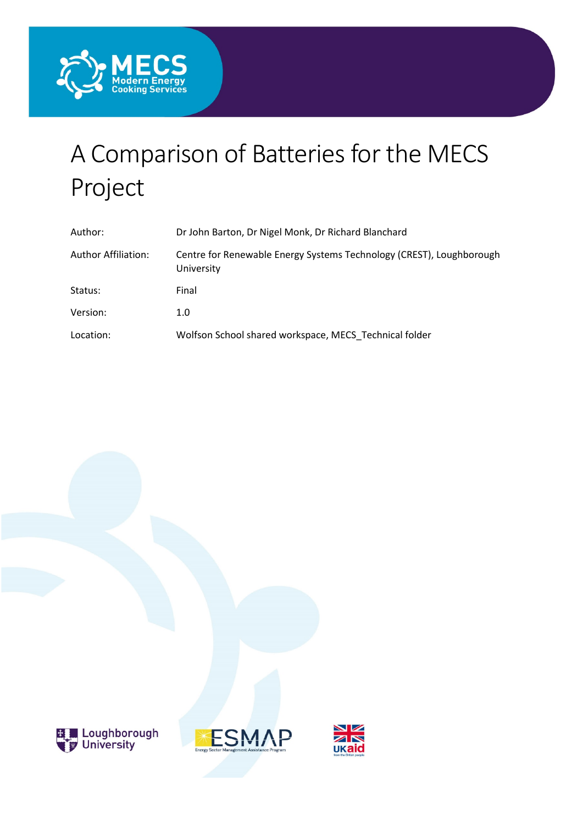

# A Comparison of Batteries for the MECS Project

| Author:                    | Dr John Barton, Dr Nigel Monk, Dr Richard Blanchard                                |
|----------------------------|------------------------------------------------------------------------------------|
| <b>Author Affiliation:</b> | Centre for Renewable Energy Systems Technology (CREST), Loughborough<br>University |
| Status:                    | Final                                                                              |
| Version:                   | 1.0                                                                                |
| Location:                  | Wolfson School shared workspace, MECS Technical folder                             |





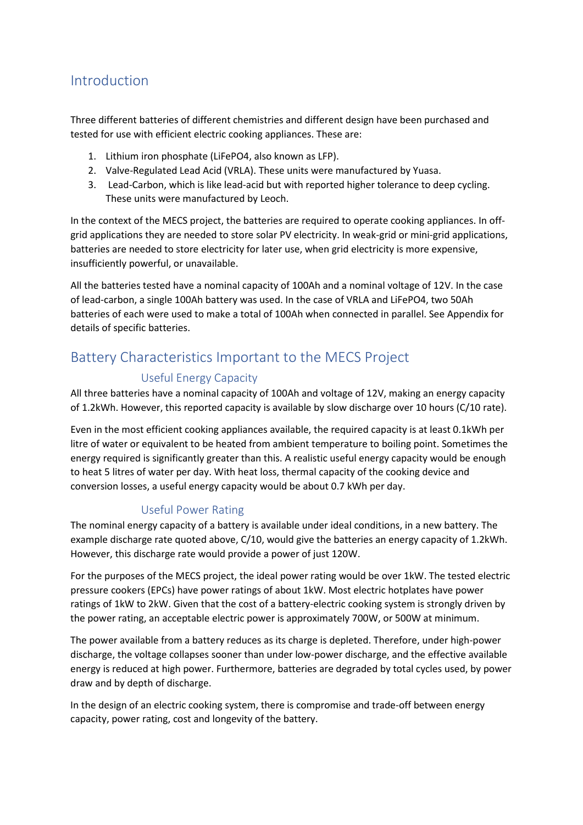# Introduction

Three different batteries of different chemistries and different design have been purchased and tested for use with efficient electric cooking appliances. These are:

- 1. Lithium iron phosphate (LiFePO4, also known as LFP).
- 2. Valve-Regulated Lead Acid (VRLA). These units were manufactured by Yuasa.
- 3. Lead-Carbon, which is like lead-acid but with reported higher tolerance to deep cycling. These units were manufactured by Leoch.

In the context of the MECS project, the batteries are required to operate cooking appliances. In offgrid applications they are needed to store solar PV electricity. In weak-grid or mini-grid applications, batteries are needed to store electricity for later use, when grid electricity is more expensive, insufficiently powerful, or unavailable.

All the batteries tested have a nominal capacity of 100Ah and a nominal voltage of 12V. In the case of lead-carbon, a single 100Ah battery was used. In the case of VRLA and LiFePO4, two 50Ah batteries of each were used to make a total of 100Ah when connected in parallel. See Appendix for details of specific batteries.

# Battery Characteristics Important to the MECS Project

### Useful Energy Capacity

All three batteries have a nominal capacity of 100Ah and voltage of 12V, making an energy capacity of 1.2kWh. However, this reported capacity is available by slow discharge over 10 hours (C/10 rate).

Even in the most efficient cooking appliances available, the required capacity is at least 0.1kWh per litre of water or equivalent to be heated from ambient temperature to boiling point. Sometimes the energy required is significantly greater than this. A realistic useful energy capacity would be enough to heat 5 litres of water per day. With heat loss, thermal capacity of the cooking device and conversion losses, a useful energy capacity would be about 0.7 kWh per day.

## Useful Power Rating

The nominal energy capacity of a battery is available under ideal conditions, in a new battery. The example discharge rate quoted above, C/10, would give the batteries an energy capacity of 1.2kWh. However, this discharge rate would provide a power of just 120W.

For the purposes of the MECS project, the ideal power rating would be over 1kW. The tested electric pressure cookers (EPCs) have power ratings of about 1kW. Most electric hotplates have power ratings of 1kW to 2kW. Given that the cost of a battery-electric cooking system is strongly driven by the power rating, an acceptable electric power is approximately 700W, or 500W at minimum.

The power available from a battery reduces as its charge is depleted. Therefore, under high-power discharge, the voltage collapses sooner than under low-power discharge, and the effective available energy is reduced at high power. Furthermore, batteries are degraded by total cycles used, by power draw and by depth of discharge.

In the design of an electric cooking system, there is compromise and trade-off between energy capacity, power rating, cost and longevity of the battery.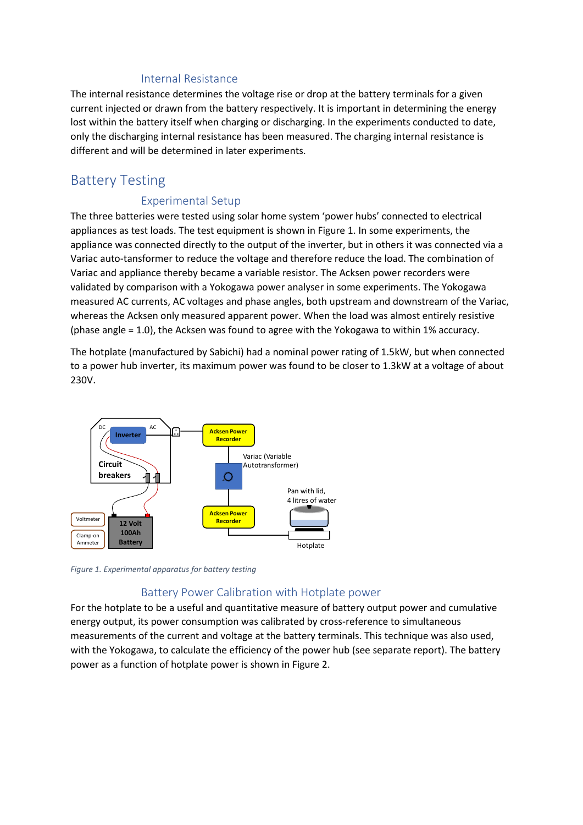#### Internal Resistance

The internal resistance determines the voltage rise or drop at the battery terminals for a given current injected or drawn from the battery respectively. It is important in determining the energy lost within the battery itself when charging or discharging. In the experiments conducted to date, only the discharging internal resistance has been measured. The charging internal resistance is different and will be determined in later experiments.

## Battery Testing

## Experimental Setup

The three batteries were tested using solar home system 'power hubs' connected to electrical appliances as test loads. The test equipment is shown in [Figure 1.](#page-2-0) In some experiments, the appliance was connected directly to the output of the inverter, but in others it was connected via a Variac auto-tansformer to reduce the voltage and therefore reduce the load. The combination of Variac and appliance thereby became a variable resistor. The Acksen power recorders were validated by comparison with a Yokogawa power analyser in some experiments. The Yokogawa measured AC currents, AC voltages and phase angles, both upstream and downstream of the Variac, whereas the Acksen only measured apparent power. When the load was almost entirely resistive (phase angle = 1.0), the Acksen was found to agree with the Yokogawa to within 1% accuracy.

The hotplate (manufactured by Sabichi) had a nominal power rating of 1.5kW, but when connected to a power hub inverter, its maximum power was found to be closer to 1.3kW at a voltage of about 230V.



<span id="page-2-0"></span>*Figure 1. Experimental apparatus for battery testing*

#### Battery Power Calibration with Hotplate power

For the hotplate to be a useful and quantitative measure of battery output power and cumulative energy output, its power consumption was calibrated by cross-reference to simultaneous measurements of the current and voltage at the battery terminals. This technique was also used, with the Yokogawa, to calculate the efficiency of the power hub (see separate report). The battery power as a function of hotplate power is shown i[n Figure 2.](#page-3-0)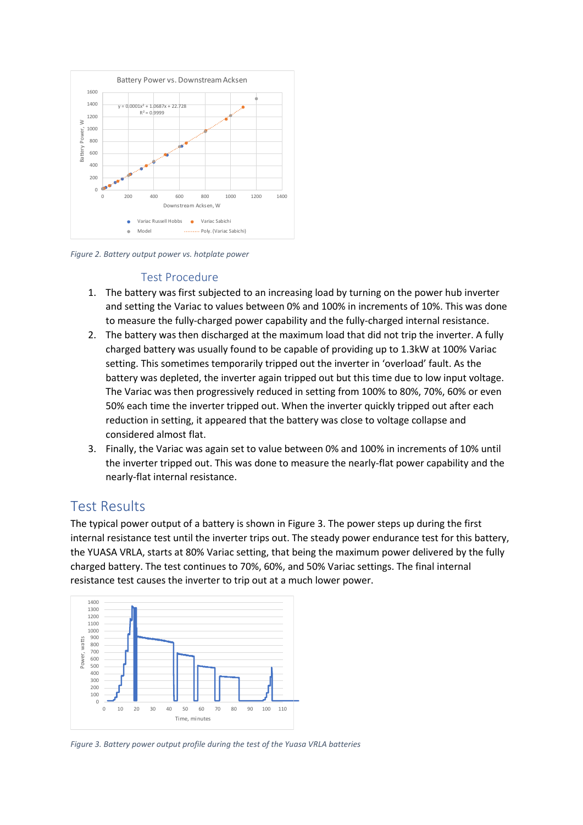

<span id="page-3-0"></span>*Figure 2. Battery output power vs. hotplate power*

## Test Procedure

- 1. The battery was first subjected to an increasing load by turning on the power hub inverter and setting the Variac to values between 0% and 100% in increments of 10%. This was done to measure the fully-charged power capability and the fully-charged internal resistance.
- 2. The battery was then discharged at the maximum load that did not trip the inverter. A fully charged battery was usually found to be capable of providing up to 1.3kW at 100% Variac setting. This sometimes temporarily tripped out the inverter in 'overload' fault. As the battery was depleted, the inverter again tripped out but this time due to low input voltage. The Variac was then progressively reduced in setting from 100% to 80%, 70%, 60% or even 50% each time the inverter tripped out. When the inverter quickly tripped out after each reduction in setting, it appeared that the battery was close to voltage collapse and considered almost flat.
- 3. Finally, the Variac was again set to value between 0% and 100% in increments of 10% until the inverter tripped out. This was done to measure the nearly-flat power capability and the nearly-flat internal resistance.

# Test Results

The typical power output of a battery is shown in [Figure 3.](#page-3-1) The power steps up during the first internal resistance test until the inverter trips out. The steady power endurance test for this battery, the YUASA VRLA, starts at 80% Variac setting, that being the maximum power delivered by the fully charged battery. The test continues to 70%, 60%, and 50% Variac settings. The final internal resistance test causes the inverter to trip out at a much lower power.



<span id="page-3-1"></span>*Figure 3. Battery power output profile during the test of the Yuasa VRLA batteries*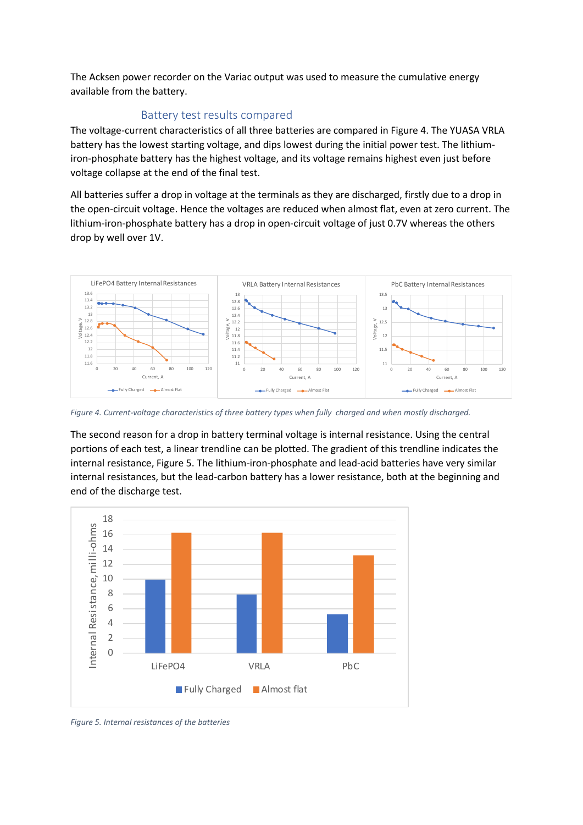The Acksen power recorder on the Variac output was used to measure the cumulative energy available from the battery.

## Battery test results compared

The voltage-current characteristics of all three batteries are compared in [Figure 4.](#page-4-0) The YUASA VRLA battery has the lowest starting voltage, and dips lowest during the initial power test. The lithiumiron-phosphate battery has the highest voltage, and its voltage remains highest even just before voltage collapse at the end of the final test.

All batteries suffer a drop in voltage at the terminals as they are discharged, firstly due to a drop in the open-circuit voltage. Hence the voltages are reduced when almost flat, even at zero current. The lithium-iron-phosphate battery has a drop in open-circuit voltage of just 0.7V whereas the others drop by well over 1V.



<span id="page-4-0"></span>*Figure 4. Current-voltage characteristics of three battery types when fully charged and when mostly discharged.*

The second reason for a drop in battery terminal voltage is internal resistance. Using the central portions of each test, a linear trendline can be plotted. The gradient of this trendline indicates the internal resistance, [Figure 5.](#page-4-1) The lithium-iron-phosphate and lead-acid batteries have very similar internal resistances, but the lead-carbon battery has a lower resistance, both at the beginning and end of the discharge test.



<span id="page-4-1"></span>*Figure 5. Internal resistances of the batteries*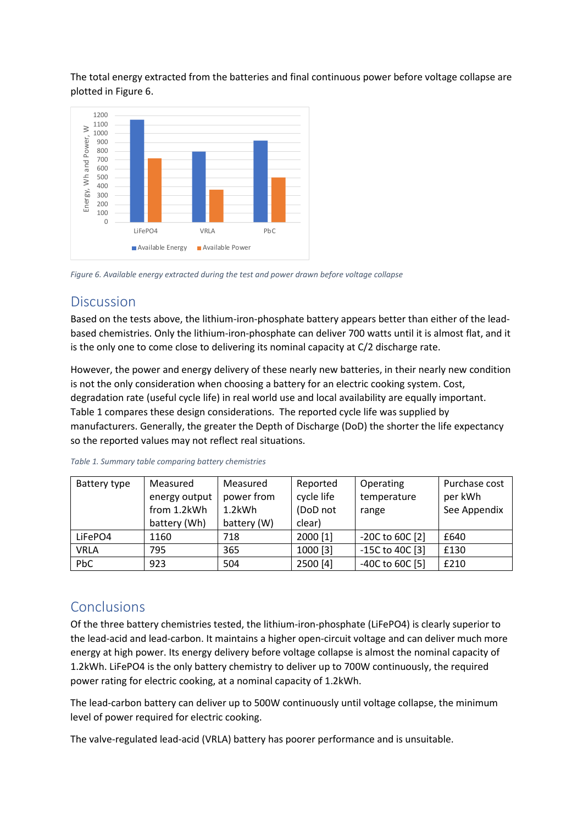The total energy extracted from the batteries and final continuous power before voltage collapse are plotted in [Figure 6.](#page-5-0)



<span id="page-5-0"></span>*Figure 6. Available energy extracted during the test and power drawn before voltage collapse*

## **Discussion**

Based on the tests above, the lithium-iron-phosphate battery appears better than either of the leadbased chemistries. Only the lithium-iron-phosphate can deliver 700 watts until it is almost flat, and it is the only one to come close to delivering its nominal capacity at C/2 discharge rate.

However, the power and energy delivery of these nearly new batteries, in their nearly new condition is not the only consideration when choosing a battery for an electric cooking system. Cost, degradation rate (useful cycle life) in real world use and local availability are equally important. [Table 1](#page-5-1) compares these design considerations. The reported cycle life was supplied by manufacturers. Generally, the greater the Depth of Discharge (DoD) the shorter the life expectancy so the reported values may not reflect real situations.

| Battery type | Measured      | Measured    | Reported   | Operating           | Purchase cost |
|--------------|---------------|-------------|------------|---------------------|---------------|
|              | energy output | power from  | cycle life | temperature         | per kWh       |
|              | from 1.2kWh   | 1.2kWh      | (DoD not   | range               | See Appendix  |
|              | battery (Wh)  | battery (W) | clear)     |                     |               |
| LiFePO4      | 1160          | 718         | 2000 [1]   | $-20C$ to 60C $[2]$ | £640          |
| <b>VRLA</b>  | 795           | 365         | 1000 [3]   | -15C to 40C [3]     | £130          |
| PbC          | 923           | 504         | 2500 [4]   | -40C to 60C [5]     | £210          |

<span id="page-5-1"></span>*Table 1. Summary table comparing battery chemistries*

# **Conclusions**

Of the three battery chemistries tested, the lithium-iron-phosphate (LiFePO4) is clearly superior to the lead-acid and lead-carbon. It maintains a higher open-circuit voltage and can deliver much more energy at high power. Its energy delivery before voltage collapse is almost the nominal capacity of 1.2kWh. LiFePO4 is the only battery chemistry to deliver up to 700W continuously, the required power rating for electric cooking, at a nominal capacity of 1.2kWh.

The lead-carbon battery can deliver up to 500W continuously until voltage collapse, the minimum level of power required for electric cooking.

The valve-regulated lead-acid (VRLA) battery has poorer performance and is unsuitable.